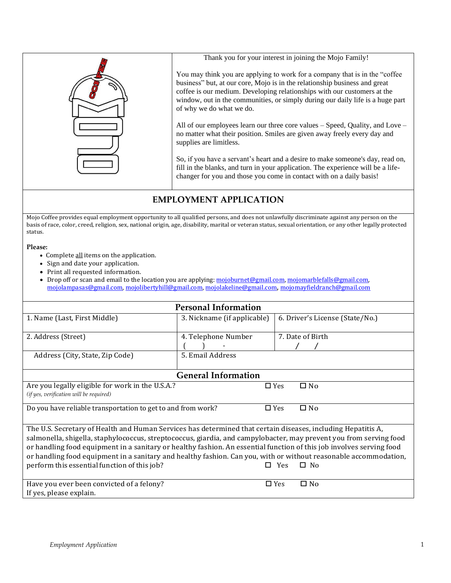

## **EMPLOYMENT APPLICATION**

Mojo Coffee provides equal employment opportunity to all qualified persons, and does not unlawfully discriminate against any person on the basis of race, color, creed, religion, sex, national origin, age, disability, marital or veteran status, sexual orientation, or any other legally protected status.

## **Please:**

- Complete all items on the application.
- Sign and date your application.
- Print all requested information.

• Drop off or scan and email to the location you are applying[: mojoburnet@gmail.com,](mailto:mojoburnet@gmail.com) mojomarblefalls@gmail.com, [mojolampasas@gmail.com,](mailto:mojolampasas@gmail.com) [mojolibertyhill@gmail.com,](mailto:mojolibertyhill@gmail.com) [mojolakeline@gmail.com](mailto:mojolakeline@gmail.com), [mojomayfieldranch@gmail.com](mailto:mojomayfieldranch@gmail.com)

| <b>Personal Information</b>                                                                                          |                             |                                 |                         |  |  |  |  |  |  |  |
|----------------------------------------------------------------------------------------------------------------------|-----------------------------|---------------------------------|-------------------------|--|--|--|--|--|--|--|
| 1. Name (Last, First Middle)                                                                                         | 3. Nickname (if applicable) | 6. Driver's License (State/No.) |                         |  |  |  |  |  |  |  |
|                                                                                                                      |                             |                                 |                         |  |  |  |  |  |  |  |
| 2. Address (Street)                                                                                                  | 4. Telephone Number         | 7. Date of Birth                |                         |  |  |  |  |  |  |  |
|                                                                                                                      |                             |                                 |                         |  |  |  |  |  |  |  |
| Address (City, State, Zip Code)                                                                                      | 5. Email Address            |                                 |                         |  |  |  |  |  |  |  |
|                                                                                                                      |                             |                                 |                         |  |  |  |  |  |  |  |
| <b>General Information</b>                                                                                           |                             |                                 |                         |  |  |  |  |  |  |  |
| Are you legally eligible for work in the U.S.A.?                                                                     |                             | $\Box$ Yes                      | $\square$ No            |  |  |  |  |  |  |  |
| (if yes, verification will be required)                                                                              |                             |                                 |                         |  |  |  |  |  |  |  |
| Do you have reliable transportation to get to and from work?                                                         |                             |                                 | $\Box$ No<br>$\Box$ Yes |  |  |  |  |  |  |  |
|                                                                                                                      |                             |                                 |                         |  |  |  |  |  |  |  |
| The U.S. Secretary of Health and Human Services has determined that certain diseases, including Hepatitis A,         |                             |                                 |                         |  |  |  |  |  |  |  |
| salmonella, shigella, staphylococcus, streptococcus, giardia, and campylobacter, may prevent you from serving food   |                             |                                 |                         |  |  |  |  |  |  |  |
| or handling food equipment in a sanitary or healthy fashion. An essential function of this job involves serving food |                             |                                 |                         |  |  |  |  |  |  |  |
| or handling food equipment in a sanitary and healthy fashion. Can you, with or without reasonable accommodation,     |                             |                                 |                         |  |  |  |  |  |  |  |
| perform this essential function of this job?                                                                         | l I                         | Yes                             | $\Box$ No               |  |  |  |  |  |  |  |
|                                                                                                                      |                             |                                 |                         |  |  |  |  |  |  |  |
| Have you ever been convicted of a felony?                                                                            |                             | $\Box$ Yes                      | $\Box$ No               |  |  |  |  |  |  |  |
| If yes, please explain.                                                                                              |                             |                                 |                         |  |  |  |  |  |  |  |